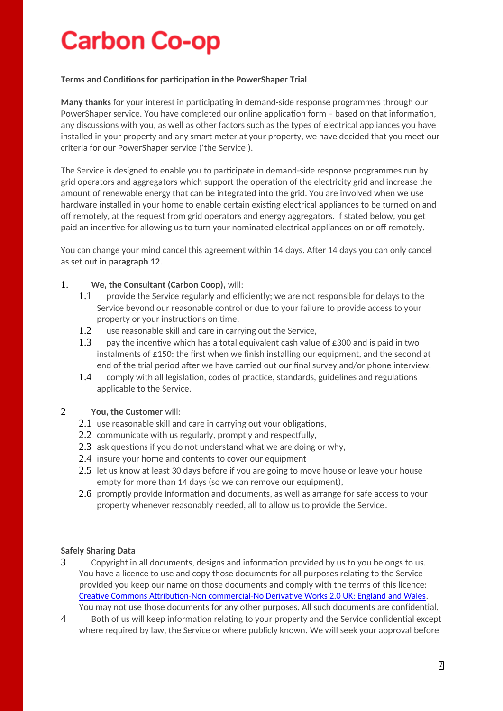# **Carbon Co-op**

#### **Terms and Conditions for participation in the PowerShaper Trial**

**Many thanks** for your interest in participating in demand-side response programmes through our PowerShaper service. You have completed our online application form – based on that information, any discussions with you, as well as other factors such as the types of electrical appliances you have installed in your property and any smart meter at your property, we have decided that you meet our criteria for our PowerShaper service ('the Service').

The Service is designed to enable you to participate in demand-side response programmes run by grid operators and aggregators which support the operation of the electricity grid and increase the amount of renewable energy that can be integrated into the grid. You are involved when we use hardware installed in your home to enable certain existing electrical appliances to be turned on and off remotely, at the request from grid operators and energy aggregators. If stated below, you get paid an incentive for allowing us to turn your nominated electrical appliances on or off remotely.

You can change your mind cancel this agreement within 14 days. After 14 days you can only cancel as set out in **paragraph 12**.

#### 1. **We, the Consultant (Carbon Coop),** will:

- 1.1 provide the Service regularly and efficiently; we are not responsible for delays to the Service beyond our reasonable control or due to your failure to provide access to your property or your instructions on time,
- 1.2 use reasonable skill and care in carrying out the Service,
- 1.3 pay the incentive which has a total equivalent cash value of  $\epsilon$ 300 and is paid in two instalments of  $\epsilon$ 150: the first when we finish installing our equipment, and the second at end of the trial period after we have carried out our final survey and/or phone interview,
- 1.4 comply with all legislation, codes of practice, standards, guidelines and regulations applicable to the Service.

#### 2 **You, the Customer** will:

- 2.1 use reasonable skill and care in carrying out your obligations,
- 2.2 communicate with us regularly, promptly and respectfully,
- 2.3 ask questions if you do not understand what we are doing or why,
- 2.4 insure your home and contents to cover our equipment
- 2.5 let us know at least 30 days before if you are going to move house or leave your house empty for more than 14 days (so we can remove our equipment),
- 2.6 promptly provide information and documents, as well as arrange for safe access to your property whenever reasonably needed, all to allow us to provide the Service.

#### **Safely Sharing Data**

- 3 Copyright in all documents, designs and information provided by us to you belongs to us. You have a licence to use and copy those documents for all purposes relating to the Service provided you keep our name on those documents and comply with the terms of this licence: Creative Commons Attribution-Non commercial-No Derivative Works 2.0 UK: England and Wales.
- You may not use those documents for any other purposes. All such documents are confidential. 4 Both of us will keep information relating to your property and the Service confidential except

where required by law, the Service or where publicly known. We will seek your approval before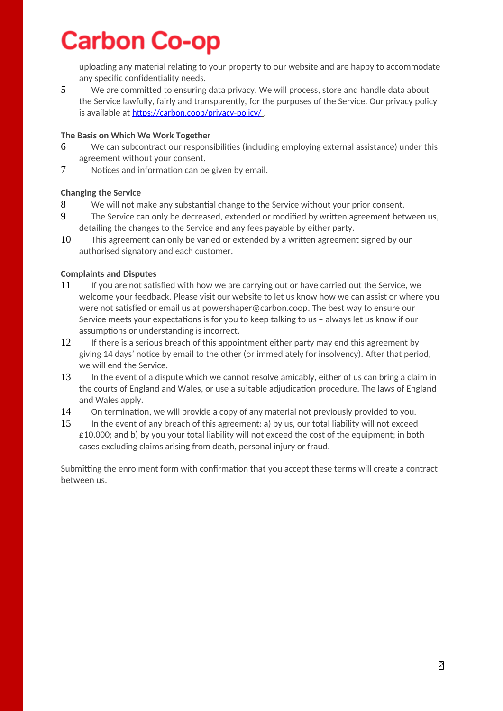## **Carbon Co-op**

uploading any material relating to your property to our website and are happy to accommodate any specific confidentiality needs.

5 We are committed to ensuring data privacy. We will process, store and handle data about the Service lawfully, fairly and transparently, for the purposes of the Service. Our privacy policy is available at https://carbon.coop/privacy-policy/.

### **The Basis on Which We Work Together**

- 6 We can subcontract our responsibilities (including employing external assistance) under this agreement without your consent.
- 7 Notices and information can be given by email.

### **Changing the Service**

- 8 We will not make any substantial change to the Service without your prior consent.
- 9 The Service can only be decreased, extended or modified by written agreement between us, detailing the changes to the Service and any fees payable by either party.
- 10 This agreement can only be varied or extended by a written agreement signed by our authorised signatory and each customer.

### **Complaints and Disputes**

- 11 If you are not satisfied with how we are carrying out or have carried out the Service, we welcome your feedback. Please visit our website to let us know how we can assist or where you were not satisfied or email us at powershaper@carbon.coop. The best way to ensure our Service meets your expectations is for you to keep talking to us – always let us know if our assumptions or understanding is incorrect.
- 12 If there is a serious breach of this appointment either party may end this agreement by giving 14 days' notice by email to the other (or immediately for insolvency). After that period, we will end the Service.
- 13 In the event of a dispute which we cannot resolve amicably, either of us can bring a claim in the courts of England and Wales, or use a suitable adjudication procedure. The laws of England and Wales apply.
- 14 On termination, we will provide a copy of any material not previously provided to you.
- 15 In the event of any breach of this agreement: a) by us, our total liability will not exceed  $£10,000;$  and b) by you your total liability will not exceed the cost of the equipment; in both cases excluding claims arising from death, personal injury or fraud.

Submitting the enrolment form with confirmation that you accept these terms will create a contract between us.